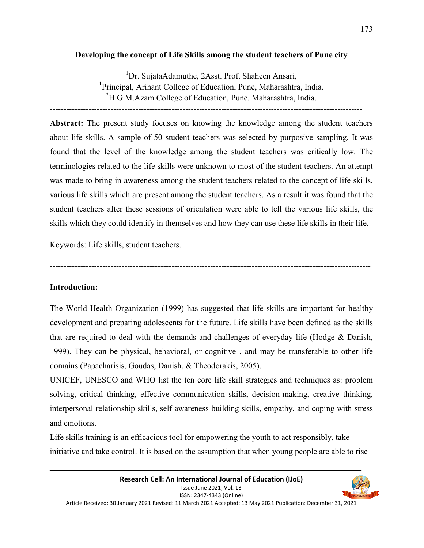## **Developing the concept of Life Skills among the student teachers of Pune city**

<sup>1</sup>Dr. SujataAdamuthe, 2Asst. Prof. Shaheen Ansari, <sup>1</sup>Principal, Arihant College of Education, Pune, Maharashtra, India.  ${}^{2}$ H.G.M.Azam College of Education, Pune. Maharashtra, India. -----------------------------------------------------------------------------------------------------------------

**Abstract:** The present study focuses on knowing the knowledge among the student teachers about life skills. A sample of 50 student teachers was selected by purposive sampling. It was found that the level of the knowledge among the student teachers was critically low. The terminologies related to the life skills were unknown to most of the student teachers. An attempt was made to bring in awareness among the student teachers related to the concept of life skills, various life skills which are present among the student teachers. As a result it was found that the student teachers after these sessions of orientation were able to tell the various life skills, the skills which they could identify in themselves and how they can use these life skills in their life.

Keywords: Life skills, student teachers.

--------------------------------------------------------------------------------------------------------------------

# **Introduction:**

The World Health Organization (1999) has suggested that life skills are important for healthy development and preparing adolescents for the future. Life skills have been defined as the skills that are required to deal with the demands and challenges of everyday life (Hodge & Danish, 1999). They can be physical, behavioral, or cognitive , and may be transferable to other life domains (Papacharisis, Goudas, Danish, & Theodorakis, 2005).

UNICEF, UNESCO and WHO list the ten core life skill strategies and techniques as: problem solving, critical thinking, effective communication skills, decision-making, creative thinking, interpersonal relationship skills, self awareness building skills, empathy, and coping with stress and emotions.

Life skills training is an efficacious tool for empowering the youth to act responsibly, take initiative and take control. It is based on the assumption that when young people are able to rise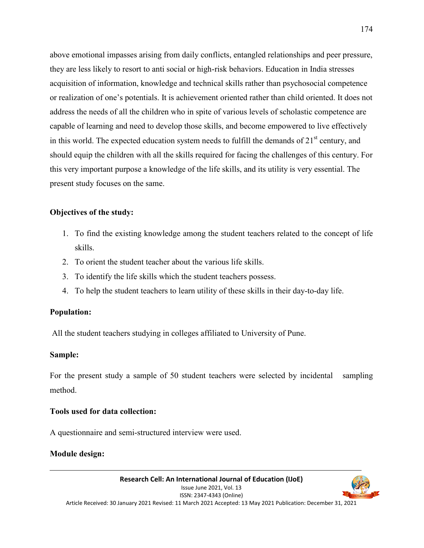above emotional impasses arising from daily conflicts, entangled relationships and peer pressure, they are less likely to resort to anti social or high-risk behaviors. Education in India stresses acquisition of information, knowledge and technical skills rather than psychosocial competence or realization of one's potentials. It is achievement oriented rather than child oriented. It does not address the needs of all the children who in spite of various levels of scholastic competence are capable of learning and need to develop those skills, and become empowered to live effectively in this world. The expected education system needs to fulfill the demands of  $21<sup>st</sup>$  century, and should equip the children with all the skills required for facing the challenges of this century. For this very important purpose a knowledge of the life skills, and its utility is very essential. The present study focuses on the same.

## **Objectives of the study:**

- 1. To find the existing knowledge among the student teachers related to the concept of life skills.
- 2. To orient the student teacher about the various life skills.
- 3. To identify the life skills which the student teachers possess.
- 4. To help the student teachers to learn utility of these skills in their day-to-day life.

# **Population:**

All the student teachers studying in colleges affiliated to University of Pune.

## **Sample:**

For the present study a sample of 50 student teachers were selected by incidental sampling method.

## **Tools used for data collection:**

A questionnaire and semi-structured interview were used.

# **Module design:**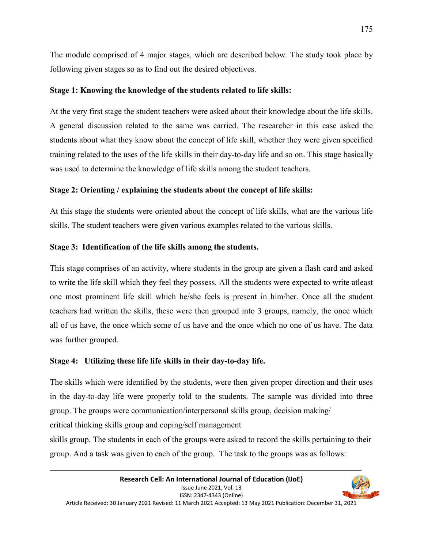The module comprised of 4 major stages, which are described below. The study took place by following given stages so as to find out the desired objectives.

## **Stage 1: Knowing the knowledge of the students related to life skills:**

At the very first stage the student teachers were asked about their knowledge about the life skills. A general discussion related to the same was carried. The researcher in this case asked the students about what they know about the concept of life skill, whether they were given specified training related to the uses of the life skills in their day-to-day life and so on. This stage basically was used to determine the knowledge of life skills among the student teachers.

# **Stage 2: Orienting / explaining the students about the concept of life skills:**

At this stage the students were oriented about the concept of life skills, what are the various life skills. The student teachers were given various examples related to the various skills.

## **Stage 3: Identification of the life skills among the students.**

This stage comprises of an activity, where students in the group are given a flash card and asked to write the life skill which they feel they possess. All the students were expected to write atleast one most prominent life skill which he/she feels is present in him/her. Once all the student teachers had written the skills, these were then grouped into 3 groups, namely, the once which all of us have, the once which some of us have and the once which no one of us have. The data was further grouped.

## **Stage 4: Utilizing these life life skills in their day-to-day life.**

The skills which were identified by the students, were then given proper direction and their uses in the day-to-day life were properly told to the students. The sample was divided into three group. The groups were communication/interpersonal skills group, decision making/ critical thinking skills group and coping/self management

skills group. The students in each of the groups were asked to record the skills pertaining to their group. And a task was given to each of the group. The task to the groups was as follows: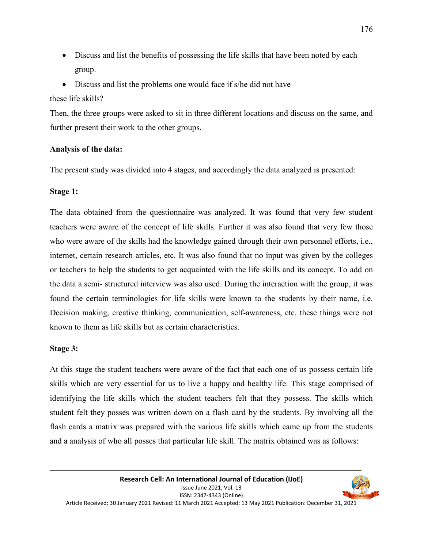- Discuss and list the benefits of possessing the life skills that have been noted by each group.
- Discuss and list the problems one would face if s/he did not have

these life skills?

Then, the three groups were asked to sit in three different locations and discuss on the same, and further present their work to the other groups.

# **Analysis of the data:**

The present study was divided into 4 stages, and accordingly the data analyzed is presented:

## **Stage 1:**

The data obtained from the questionnaire was analyzed. It was found that very few student teachers were aware of the concept of life skills. Further it was also found that very few those who were aware of the skills had the knowledge gained through their own personnel efforts, i.e., internet, certain research articles, etc. It was also found that no input was given by the colleges or teachers to help the students to get acquainted with the life skills and its concept. To add on the data a semi- structured interview was also used. During the interaction with the group, it was found the certain terminologies for life skills were known to the students by their name, i.e. Decision making, creative thinking, communication, self-awareness, etc. these things were not known to them as life skills but as certain characteristics.

## **Stage 3:**

At this stage the student teachers were aware of the fact that each one of us possess certain life skills which are very essential for us to live a happy and healthy life. This stage comprised of identifying the life skills which the student teachers felt that they possess. The skills which student felt they posses was written down on a flash card by the students. By involving all the flash cards a matrix was prepared with the various life skills which came up from the students and a analysis of who all posses that particular life skill. The matrix obtained was as follows: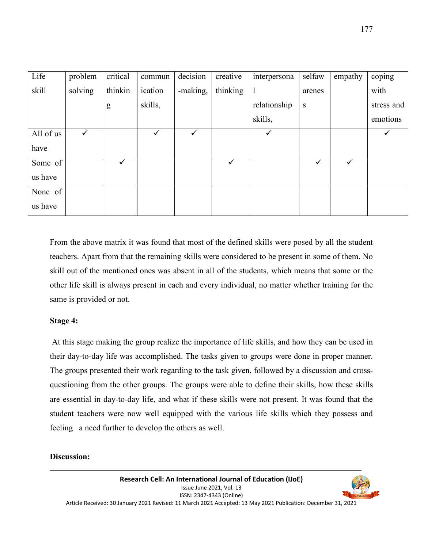| Life        | problem | critical     | commun  | decision     | creative     | interpersona | selfaw       | empathy | coping     |
|-------------|---------|--------------|---------|--------------|--------------|--------------|--------------|---------|------------|
| skill       | solving | thinkin      | ication | -making,     | thinking     | $\mathbf{1}$ | arenes       |         | with       |
|             |         | g            | skills, |              |              | relationship | ${\bf S}$    |         | stress and |
|             |         |              |         |              |              | skills,      |              |         | emotions   |
| All of us   | ✓       |              |         | $\checkmark$ |              |              |              |         | ✓          |
| have        |         |              |         |              |              |              |              |         |            |
| Some of     |         | $\checkmark$ |         |              | $\checkmark$ |              | $\checkmark$ | ✓       |            |
| us have     |         |              |         |              |              |              |              |         |            |
| None of $ $ |         |              |         |              |              |              |              |         |            |
| us have     |         |              |         |              |              |              |              |         |            |

From the above matrix it was found that most of the defined skills were posed by all the student teachers. Apart from that the remaining skills were considered to be present in some of them. No skill out of the mentioned ones was absent in all of the students, which means that some or the other life skill is always present in each and every individual, no matter whether training for the same is provided or not.

## **Stage 4:**

 At this stage making the group realize the importance of life skills, and how they can be used in their day-to-day life was accomplished. The tasks given to groups were done in proper manner. The groups presented their work regarding to the task given, followed by a discussion and crossquestioning from the other groups. The groups were able to define their skills, how these skills are essential in day-to-day life, and what if these skills were not present. It was found that the student teachers were now well equipped with the various life skills which they possess and feeling a need further to develop the others as well.

## **Discussion:**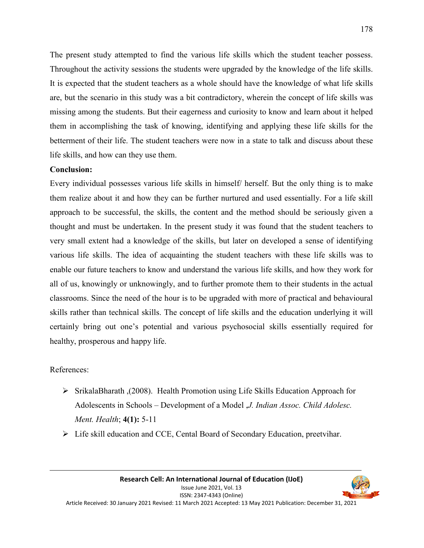The present study attempted to find the various life skills which the student teacher possess. Throughout the activity sessions the students were upgraded by the knowledge of the life skills. It is expected that the student teachers as a whole should have the knowledge of what life skills are, but the scenario in this study was a bit contradictory, wherein the concept of life skills was missing among the students. But their eagerness and curiosity to know and learn about it helped them in accomplishing the task of knowing, identifying and applying these life skills for the betterment of their life. The student teachers were now in a state to talk and discuss about these life skills, and how can they use them.

#### **Conclusion:**

Every individual possesses various life skills in himself/ herself. But the only thing is to make them realize about it and how they can be further nurtured and used essentially. For a life skill approach to be successful, the skills, the content and the method should be seriously given a thought and must be undertaken. In the present study it was found that the student teachers to very small extent had a knowledge of the skills, but later on developed a sense of identifying various life skills. The idea of acquainting the student teachers with these life skills was to enable our future teachers to know and understand the various life skills, and how they work for all of us, knowingly or unknowingly, and to further promote them to their students in the actual classrooms. Since the need of the hour is to be upgraded with more of practical and behavioural skills rather than technical skills. The concept of life skills and the education underlying it will certainly bring out one's potential and various psychosocial skills essentially required for healthy, prosperous and happy life.

## References:

- $\triangleright$  SrikalaBharath ,(2008). Health Promotion using Life Skills Education Approach for Adolescents in Schools – Development of a Model ,*J. Indian Assoc. Child Adolesc. Ment. Health*; **4(1):** 5-11
- Life skill education and CCE, Cental Board of Secondary Education, preetvihar.